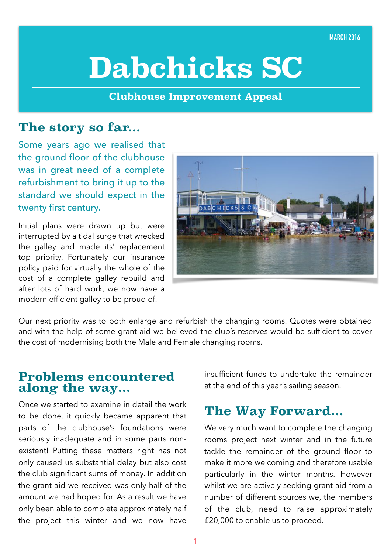# **Dabchicks SC**

**Clubhouse Improvement Appeal**

#### **The story so far...**

Some years ago we realised that the ground floor of the clubhouse was in great need of a complete refurbishment to bring it up to the standard we should expect in the twenty first century.

Initial plans were drawn up but were interrupted by a tidal surge that wrecked the galley and made its' replacement top priority. Fortunately our insurance policy paid for virtually the whole of the cost of a complete galley rebuild and after lots of hard work, we now have a modern efficient galley to be proud of.



Our next priority was to both enlarge and refurbish the changing rooms. Quotes were obtained and with the help of some grant aid we believed the club's reserves would be sufficient to cover the cost of modernising both the Male and Female changing rooms.

#### **Problems encountered along the way...**

Once we started to examine in detail the work to be done, it quickly became apparent that parts of the clubhouse's foundations were seriously inadequate and in some parts nonexistent! Putting these matters right has not only caused us substantial delay but also cost the club significant sums of money. In addition the grant aid we received was only half of the amount we had hoped for. As a result we have only been able to complete approximately half the project this winter and we now have insufficient funds to undertake the remainder at the end of this year's sailing season.

#### **The Way Forward...**

We very much want to complete the changing rooms project next winter and in the future tackle the remainder of the ground floor to make it more welcoming and therefore usable particularly in the winter months. However whilst we are actively seeking grant aid from a number of different sources we, the members of the club, need to raise approximately £20,000 to enable us to proceed.